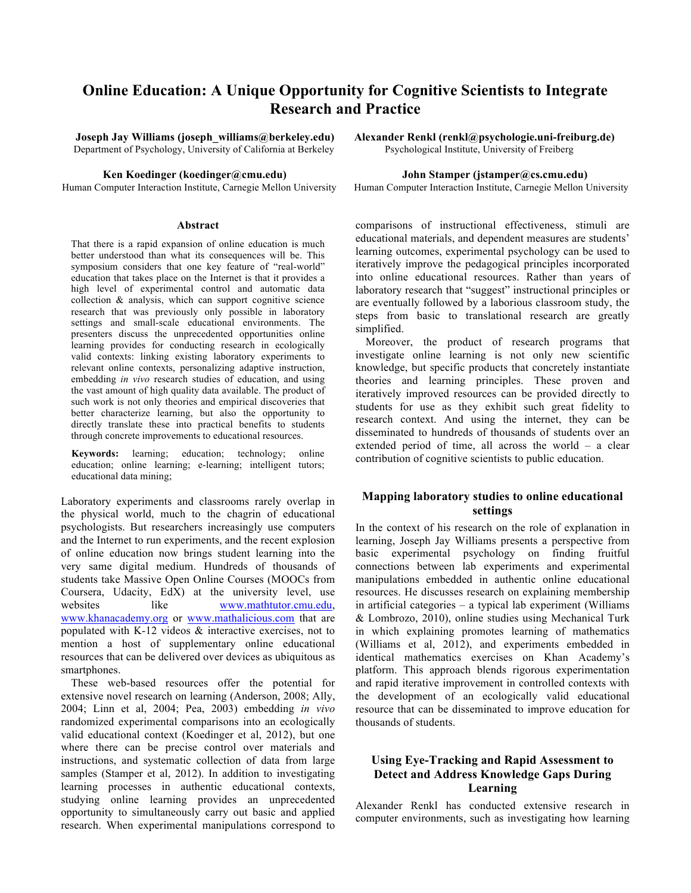# **Online Education: A Unique Opportunity for Cognitive Scientists to Integrate Research and Practice**

**Joseph Jay Williams (joseph\_williams@berkeley.edu) Alexander Renkl (renkl@psychologie.uni-freiburg.de)**  Department of Psychology, University of California at Berkeley Psychological Institute, University of Freiberg

#### **Abstract**

That there is a rapid expansion of online education is much better understood than what its consequences will be. This symposium considers that one key feature of "real-world" education that takes place on the Internet is that it provides a high level of experimental control and automatic data collection & analysis, which can support cognitive science research that was previously only possible in laboratory settings and small-scale educational environments. The presenters discuss the unprecedented opportunities online learning provides for conducting research in ecologically valid contexts: linking existing laboratory experiments to relevant online contexts, personalizing adaptive instruction, embedding *in vivo* research studies of education, and using the vast amount of high quality data available. The product of such work is not only theories and empirical discoveries that better characterize learning, but also the opportunity to directly translate these into practical benefits to students through concrete improvements to educational resources.

**Keywords:** learning; education; technology; online education; online learning; e-learning; intelligent tutors; educational data mining;

Laboratory experiments and classrooms rarely overlap in the physical world, much to the chagrin of educational psychologists. But researchers increasingly use computers and the Internet to run experiments, and the recent explosion of online education now brings student learning into the very same digital medium. Hundreds of thousands of students take Massive Open Online Courses (MOOCs from Coursera, Udacity, EdX) at the university level, use websites like www.mathtutor.cmu.edu, www.khanacademy.org or www.mathalicious.com that are populated with K-12 videos & interactive exercises, not to mention a host of supplementary online educational resources that can be delivered over devices as ubiquitous as smartphones.

These web-based resources offer the potential for extensive novel research on learning (Anderson, 2008; Ally, 2004; Linn et al, 2004; Pea, 2003) embedding *in vivo*  randomized experimental comparisons into an ecologically valid educational context (Koedinger et al, 2012), but one where there can be precise control over materials and instructions, and systematic collection of data from large samples (Stamper et al, 2012). In addition to investigating learning processes in authentic educational contexts, studying online learning provides an unprecedented opportunity to simultaneously carry out basic and applied research. When experimental manipulations correspond to

#### **Ken Koedinger (koedinger@cmu.edu) John Stamper (jstamper@cs.cmu.edu)**

Human Computer Interaction Institute, Carnegie Mellon University Human Computer Interaction Institute, Carnegie Mellon University

comparisons of instructional effectiveness, stimuli are educational materials, and dependent measures are students' learning outcomes, experimental psychology can be used to iteratively improve the pedagogical principles incorporated into online educational resources. Rather than years of laboratory research that "suggest" instructional principles or are eventually followed by a laborious classroom study, the steps from basic to translational research are greatly simplified.

Moreover, the product of research programs that investigate online learning is not only new scientific knowledge, but specific products that concretely instantiate theories and learning principles. These proven and iteratively improved resources can be provided directly to students for use as they exhibit such great fidelity to research context. And using the internet, they can be disseminated to hundreds of thousands of students over an extended period of time, all across the world – a clear contribution of cognitive scientists to public education.

## **Mapping laboratory studies to online educational settings**

In the context of his research on the role of explanation in learning, Joseph Jay Williams presents a perspective from basic experimental psychology on finding fruitful connections between lab experiments and experimental manipulations embedded in authentic online educational resources. He discusses research on explaining membership in artificial categories – a typical lab experiment (Williams & Lombrozo, 2010), online studies using Mechanical Turk in which explaining promotes learning of mathematics (Williams et al, 2012), and experiments embedded in identical mathematics exercises on Khan Academy's platform. This approach blends rigorous experimentation and rapid iterative improvement in controlled contexts with the development of an ecologically valid educational resource that can be disseminated to improve education for thousands of students.

## **Using Eye-Tracking and Rapid Assessment to Detect and Address Knowledge Gaps During Learning**

Alexander Renkl has conducted extensive research in computer environments, such as investigating how learning